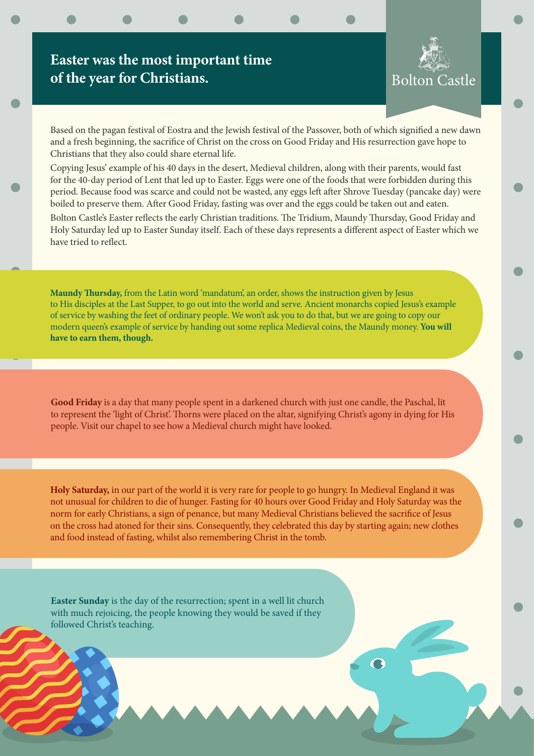## **Easter was the most important time of the year for Christians.**

Bolton Castle

Based on the pagan festival of Eostra and the Jewish festival of the Passover, both of which signified a new dawn and a fresh beginning, the sacrifice of Christ on the cross on Good Friday and His resurrection gave hope to Christians that they also could share eternal life.

Copying Jesus' example of his 40 days in the desert, Medieval children, along with their parents, would fast for the 40-day period of Lent that led up to Easter. Eggs were one of the foods that were forbidden during this period. Because food was scarce and could not be wasted, any eggs left after Shrove Tuesday (pancake day) were boiled to preserve them. After Good Friday, fasting was over and the eggs could be taken out and eaten.

Bolton Castle's Easter reflects the early Christian traditions. The Tridium, Maundy Thursday, Good Friday and Holy Saturday led up to Easter Sunday itself. Each of these days represents a different aspect of Easter which we have tried to reflect.

**Maundy Thursday,** from the Latin word 'mandatum', an order, shows the instruction given by Jesus to His disciples at the Last Supper, to go out into the world and serve. Ancient monarchs copied Jesus's example of service by washing the feet of ordinary people. We won't ask you to do that, but we are going to copy our modern queen's example of service by handing out some replica Medieval coins, the Maundy money. **You will have to earn them, though.** 

**Good Friday** is a day that many people spent in a darkened church with just one candle, the Paschal, lit to represent the 'light of Christ'. Thorns were placed on the altar, signifying Christ's agony in dying for His people. Visit our chapel to see how a Medieval church might have looked.

**Holy Saturday,** in our part of the world it is very rare for people to go hungry. In Medieval England it was not unusual for children to die of hunger. Fasting for 40 hours over Good Friday and Holy Saturday was the norm for early Christians, a sign of penance, but many Medieval Christians believed the sacrifice of Jesus on the cross had atoned for their sins. Consequently, they celebrated this day by starting again; new clothes and food instead of fasting, whilst also remembering Christ in the tomb.

**Easter Sunday** is the day of the resurrection; spent in a well lit church with much rejoicing, the people knowing they would be saved if they followed Christ's teaching.